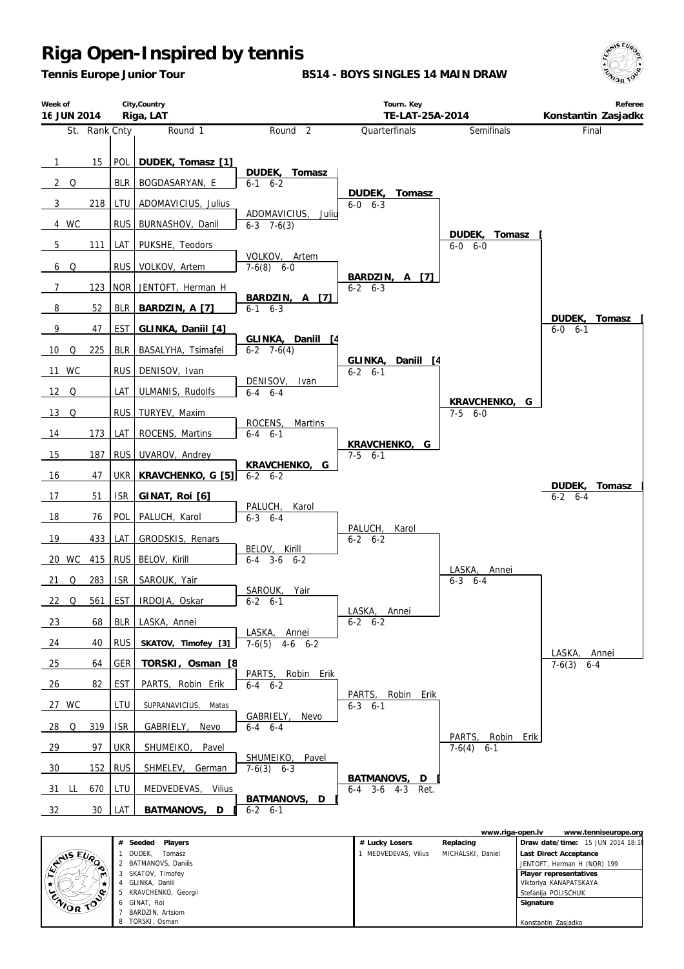*Tennis Europe Junior Tour*

**BS14 - BOYS SINGLES 14 MAIN DRAW**





|              | Players<br>Seeded<br># | # Lucky Losers     | Replacing         | Draw date/time: 15 JUN 2014 18:1 |
|--------------|------------------------|--------------------|-------------------|----------------------------------|
|              | DUDEK.<br>Tomasz       | MEDVEDEVAS, Vilius | MICHALSKI, Daniel | Last Direct Acceptance           |
| ANS EVA<br>ం | BATMANOVS, Daniils     |                    |                   | JENTOFT, Herman H (NOR) 199      |
| m            | SKATOV, Timofey        |                    |                   | Player representatives           |
|              | GLINKA, Daniil         |                    |                   | Viktoriya KANAPATSKAYA           |
| ∕¢           | KRAVCHENKO, Georgii    |                    |                   | Stefanija POLISCHUK              |
| ENIOR TO     | GINAT, Roi             |                    |                   | Signature                        |
|              | BARDZIN, Artsiom       |                    |                   |                                  |
|              | TORSKI, Osman          |                    |                   | Konstantin Zasjadko              |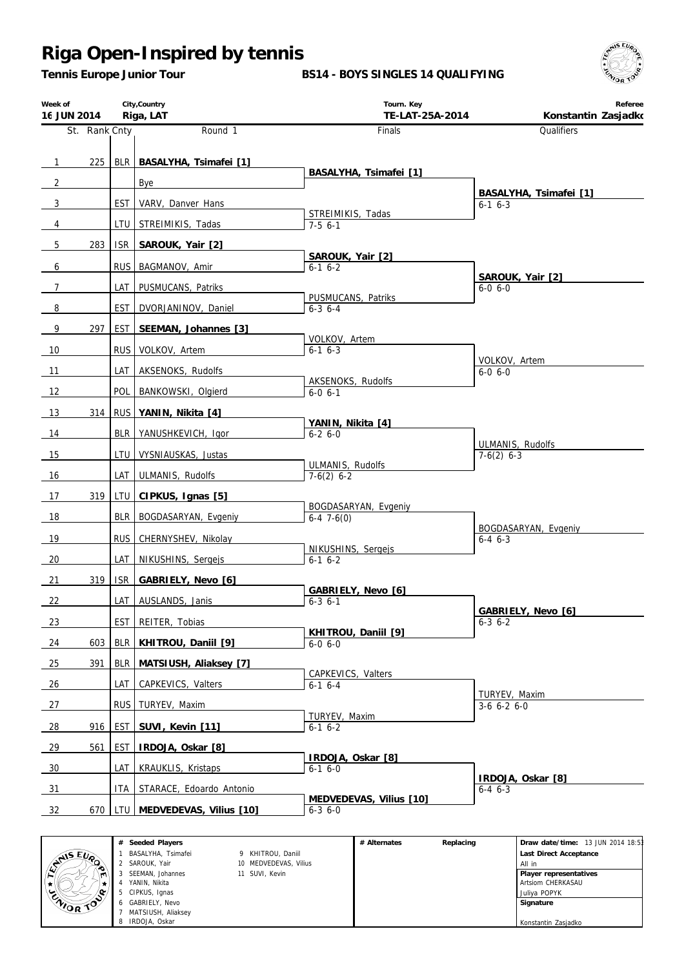*Tennis Europe Junior Tour*

#### **BS14 - BOYS SINGLES 14 QUALIFYING**



| Week of<br>16 JUN 2014 |               |                  | City, Country<br>Riga, LAT | Tourn. Key<br>TE-LAT-25A-2014            | Referee<br>Konstantin Zasjadko           |
|------------------------|---------------|------------------|----------------------------|------------------------------------------|------------------------------------------|
|                        | St. Rank Cnty |                  | Round 1                    | Finals                                   | Qualifiers                               |
|                        | 225           | BLR              |                            |                                          |                                          |
| $\overline{1}$         |               |                  | BASALYHA, Tsimafei [1]     | BASALYHA, Tsimafei [1]                   |                                          |
| $\overline{2}$         |               |                  | Bye                        |                                          | BASALYHA, Tsimafei [1]                   |
| 3                      |               | <b>EST</b>       | VARV, Danver Hans          | STREIMIKIS, Tadas                        | $6 - 1$ $6 - 3$                          |
| 4                      |               | LTU              | STREIMIKIS, Tadas          | $7-56-1$                                 |                                          |
| $\overline{5}$         | 283           | <b>ISR</b>       | SAROUK, Yair [2]           | SAROUK, Yair [2]                         |                                          |
| 6                      |               | <b>RUS</b>       | BAGMANOV, Amir             | $6-1$ $6-2$                              | SAROUK, Yair [2]                         |
| $\overline{7}$         |               | LAT              | PUSMUCANS, Patriks         |                                          | $6 - 0 6 - 0$                            |
| 8                      |               | <b>EST</b>       | DVORJANINOV, Daniel        | PUSMUCANS, Patriks<br>$6 - 3$ $6 - 4$    |                                          |
| 9                      | 297           | EST              | SEEMAN, Johannes [3]       |                                          |                                          |
| 10                     |               | RUS <sup>I</sup> | VOLKOV, Artem              | VOLKOV, Artem<br>$6-1$ $6-3$             |                                          |
| 11                     |               | LAT              | AKSENOKS, Rudolfs          |                                          | VOLKOV, Artem<br>$6 - 0, 6 - 0$          |
| 12                     |               | <b>POL</b>       | BANKOWSKI, Olgierd         | AKSENOKS, Rudolfs<br>$6 - 0 6 - 1$       |                                          |
| 13                     | 314           |                  | RUS YANIN, Nikita [4]      |                                          |                                          |
|                        |               |                  |                            | YANIN, Nikita [4]                        |                                          |
| 14                     |               | BLR              | YANUSHKEVICH, Igor         | $6 - 26 - 0$                             | ULMANIS, Rudolfs                         |
| 15                     |               | LTU              | VYSNIAUSKAS, Justas        | ULMANIS, Rudolfs                         | $7-6(2)$ 6-3                             |
| 16                     |               | LAT              | ULMANIS, Rudolfs           | $7-6(2)$ 6-2                             |                                          |
| 17                     | 319           | LTU              | CIPKUS, Ignas [5]          | BOGDASARYAN, Evgeniy                     |                                          |
| 18                     |               | <b>BLR</b>       | BOGDASARYAN, Evgeniy       | $6-47-6(0)$                              |                                          |
| 19                     |               | <b>RUS</b>       | CHERNYSHEV, Nikolay        |                                          | BOGDASARYAN, Evgeniy<br>$6 - 4$ $6 - 3$  |
| 20                     |               | LAT              | NIKUSHINS, Sergejs         | NIKUSHINS, Sergejs<br>$6-1$ $6-2$        |                                          |
| 21                     | 319           | <b>ISR</b>       | GABRIELY, Nevo [6]         |                                          |                                          |
| 22                     |               | LAT I            | AUSLANDS, Janis            | GABRIELY, Nevo [6]<br>$6 - 3 6 - 1$      |                                          |
| 23                     |               | EST              | REITER, Tobias             |                                          | GABRIELY, Nevo [6]<br>$6 - 3 \, 6 - 2$   |
| 24                     | 603           | <b>BLR</b>       | KHITROU, Daniil [9]        | KHITROU, Daniil [9]<br>$6-0, 6-0$        |                                          |
|                        | 391           |                  |                            |                                          |                                          |
| 25                     |               | <b>BLR</b>       | MATSIUSH, Aliaksey [7]     | CAPKEVICS, Valters                       |                                          |
| 26                     |               | LAT              | CAPKEVICS, Valters         | $6-1$ 6-4                                | TURYEV, Maxim                            |
| 27                     |               | <b>RUS</b>       | TURYEV, Maxim              | TURYEV, Maxim                            | $3-6$ 6-2 6-0                            |
| 28                     | 916           | EST              | SUVI, Kevin [11]           | $6-1$ $6-2$                              |                                          |
| 29                     | 561           | EST              | IRDOJA, Oskar [8]          | IRDOJA, Oskar [8]                        |                                          |
| 30                     |               | LAT              | <b>KRAUKLIS, Kristaps</b>  | $6-16-0$                                 |                                          |
| 31                     |               | ITA              | STARACE, Edoardo Antonio   |                                          | IRDOJA, Oskar [8]<br>$6 - 4 \quad 6 - 3$ |
| 32                     | 670           | <b>LTU</b>       | MEDVEDEVAS, Vilius [10]    | MEDVEDEVAS, Vilius [10]<br>$6 - 3 6 - 0$ |                                          |

|                    | # Seeded Players   |                       | # Alternates | Replacing | Draw date/time: 13 JUN 2014 18:53 |
|--------------------|--------------------|-----------------------|--------------|-----------|-----------------------------------|
|                    | BASALYHA, Tsimafei | 9 KHITROU, Daniil     |              |           | Last Direct Acceptance            |
| $x^{\text{NIS E}}$ | 2 SAROUK, Yair     | 10 MEDVEDEVAS, Vilius |              |           | All in                            |
| m                  | SEEMAN, Johannes   | 11 SUVI, Kevin        |              |           | Player representatives            |
|                    | YANIN, Nikita      |                       |              |           | Artsiom CHERKASAU                 |
|                    | CIPKUS, Ignas      |                       |              |           | Juliya POPYK                      |
| CNIOR TO           | 6 GABRIELY, Nevo   |                       |              |           | Signature                         |
|                    | MATSIUSH, Aliaksey |                       |              |           |                                   |
|                    | 8 IRDOJA, Oskar    |                       |              |           | Konstantin Zasjadko               |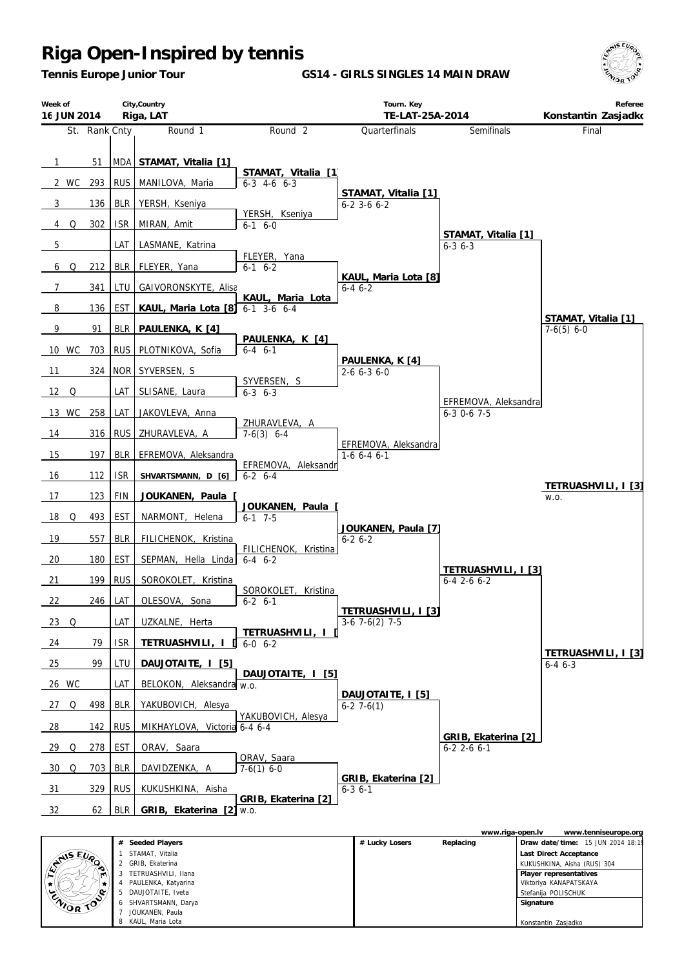*Tennis Europe Junior Tour*

**GS14 - GIRLS SINGLES 14 MAIN DRAW**





|           |   |                      |                | www.riga-open.ly |                             | www.tenniseurope.org              |
|-----------|---|----------------------|----------------|------------------|-----------------------------|-----------------------------------|
|           | # | Seeded Players       | # Lucky Losers | Replacing        |                             | Draw date/time: 15 JUN 2014 18:19 |
| ANS EVRO  |   | STAMAT, Vitalia      |                |                  | Last Direct Acceptance      |                                   |
|           |   | GRIB, Ekaterina      |                |                  | KUKUSHKINA, Aisha (RUS) 304 |                                   |
| m         |   | TETRUASHVILI, Ilana  |                |                  | Player representatives      |                                   |
|           |   | PAULENKA, Katyarina  |                |                  | Viktoriya KANAPATSKAYA      |                                   |
| ENIOR TOP |   | DAUJOTAITE, Iveta    |                |                  | Stefanija POLISCHUK         |                                   |
|           |   | 6 SHVARTSMANN, Darya |                |                  | Signature                   |                                   |
|           |   | JOUKANEN, Paula      |                |                  |                             |                                   |
|           |   | KAUL, Maria Lota     |                |                  | Konstantin Zasjadko         |                                   |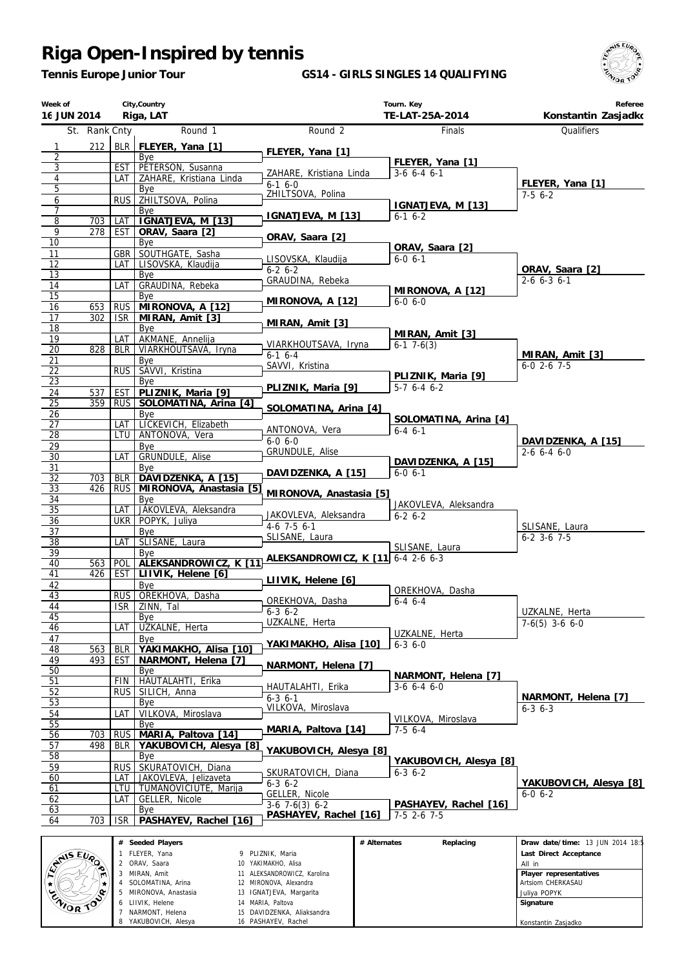*Tennis Europe Junior Tour*

#### **GS14 - GIRLS SINGLES 14 QUALIFYING**



| Week of<br>16 JUN 2014      |               |            | City, Country<br>Riga, LAT                     |                                               | Tourn. Key<br>TE-LAT-25A-2014          | Referee<br>Konstantin Zasjadko         |
|-----------------------------|---------------|------------|------------------------------------------------|-----------------------------------------------|----------------------------------------|----------------------------------------|
|                             | St. Rank Cnty |            | Round 1                                        | Round <sub>2</sub>                            | Finals                                 | Qualifiers                             |
| 1                           | 212           |            | BLR FLEYER, Yana [1]                           |                                               |                                        |                                        |
| 2                           |               |            | Bye                                            | FLEYER, Yana [1]                              | FLEYER, Yana [1]                       |                                        |
| 3<br>$\overline{4}$         |               | EST<br>LAT | PETERSON, Susanna<br>ZAHARE, Kristiana Linda   | ZAHARE, Kristiana Linda                       | $3-6$ 6-4 6-1                          |                                        |
| 5                           |               |            | Bye                                            | $6-16-0$                                      |                                        | FLEYER, Yana [1]                       |
| 6                           |               | <b>RUS</b> | ZHILTSOVA, Polina                              | ZHILTSOVA, Polina                             | IGNATJEVA, M [13]                      | $7-56-2$                               |
| 7                           |               |            | Bye                                            | IGNATJEVA, M [13]                             | $6-1$ $6-2$                            |                                        |
| $\overline{8}$<br>9         | 703<br>278    | LAT<br>EST | IGNATJEVA, M [13]<br>ORAV, Saara [2]           |                                               |                                        |                                        |
| 10                          |               |            | Bye                                            | ORAV, Saara [2]                               |                                        |                                        |
| 11                          |               | GBR        | SOUTHGATE, Sasha                               | LISOVSKA, Klaudija                            | ORAV, Saara [2]<br>$6-0, 6-1$          |                                        |
| 12<br>13                    |               | LAT        | LISOVSKA, Klaudija<br>Bye                      | $6 - 2 6 - 2$                                 |                                        | ORAV, Saara [2]                        |
| 14                          |               | LAT        | GRAUDINA, Rebeka                               | GRAUDINA, Rebeka                              |                                        | $2-6$ 6-3 6-1                          |
| 15                          |               |            | Bye                                            | MIRONOVA, A [12]                              | MIRONOVA, A [12]<br>$6-0, 6-0$         |                                        |
| 16                          | 653           | <b>RUS</b> | MIRONOVA, A [12]                               |                                               |                                        |                                        |
| 17<br>18                    | 302           | ISR.       | MIRAN, Amit [3]<br>Bye                         | MIRAN, Amit [3]                               |                                        |                                        |
| 19                          |               | LAT        | AKMANE, Annelija                               |                                               | MIRAN, Amit [3]                        |                                        |
| 20                          | 828           | <b>BLR</b> | VIARKHOUTSAVA, Iryna                           | VIARKHOUTSAVA, Iryna<br>$6-16-4$              | $6-1$ 7 $-6(3)$                        | MIRAN, Amit [3]                        |
| 21                          |               |            | Bye                                            | SAVVI, Kristina                               |                                        | $6-0$ 2-6 7-5                          |
| $\overline{22}$<br>23       |               | <b>RUS</b> | SAVVI, Kristina<br>Bye                         |                                               | PLIZNIK, Maria [9]                     |                                        |
| 24                          | 537           | EST        | PLIZNIK, Maria [9]                             | PLIZNIK, Maria [9]                            | $5-7$ 6-4 6-2                          |                                        |
| 25                          | 359           | <b>RUS</b> | SOLOMATINA, Arina [4]                          | SOLOMATINA, Arina [4]                         |                                        |                                        |
| 26                          |               |            | Bye<br>LICKEVICH, Elizabeth                    |                                               | SOLOMATINA, Arina [4]                  |                                        |
| 27<br>28                    |               | LAT<br>LTU | ANTONOVA, Vera                                 | ANTONOVA, Vera                                | $6 - 4 6 - 1$                          |                                        |
| 29                          |               |            | Bye                                            | $6 - 0, 6 - 0$                                |                                        | DAVIDZENKA, A [15]                     |
| 30                          |               | LAT        | GRUNDULE, Alise                                | GRUNDULE, Alise                               | DAVIDZENKA, A [15]                     | $2-6$ 6-4 6-0                          |
| 31<br>32                    | 703           | <b>BLR</b> | Bye<br>DAVIDZENKA, A [15]                      | DAVIDZENKA, A [15]                            | $6 - 0 6 - 1$                          |                                        |
| 33                          | 426           | <b>RUS</b> | MIRONOVA, Anastasia [5]                        |                                               |                                        |                                        |
| 34                          |               |            | Bye                                            | MIRONOVA, Anastasia [5]                       | JAKOVLEVA, Aleksandra                  |                                        |
| 35                          |               | LAT        | JAKOVLEVA, Aleksandra                          | JAKOVLEVA, Aleksandra                         | $6 - 2 6 - 2$                          |                                        |
| 36<br>37                    |               |            | UKR POPYK, Juliya<br>Bye                       | $4-6$ 7-5 6-1                                 |                                        | SLISANE, Laura                         |
| 38                          |               | LAT        | SLISANE, Laura                                 | SLISANE, Laura                                |                                        | $6-2$ 3-6 7-5                          |
| 39                          |               |            | Bye                                            | ALEKSANDROWICZ, K [11] 6-4 2-6 6-3            | SLISANE, Laura                         |                                        |
| 40<br>41                    | 563<br>426    | POL<br>EST | ALEKSANDROWICZ, K [11]<br>LIIVIK, Helene [6]   |                                               |                                        |                                        |
| 42                          |               |            | Bye                                            | LIIVIK, Helene [6]                            |                                        |                                        |
| 43                          |               | RUS I      | OREKHOVA, Dasha                                | OREKHOVA, Dasha                               | OREKHOVA, Dasha<br>$6-4$ $6-4$         |                                        |
| 44                          |               |            | ISR ZINN. Tal                                  | $6 - 3 \cdot 6 - 2$                           |                                        | UZKALNE, Herta                         |
| 45<br>46                    |               | LAT        | Bye<br>UZKALNE, Herta                          | UZKALNE, Herta                                |                                        | $7-6(5)$ 3-6 6-0                       |
| 47                          |               |            | Bye                                            |                                               | UZKALNE, Herta                         |                                        |
| 48                          | 563           | <b>BLR</b> | YAKIMAKHO, Alisa [10]                          | YAKIMAKHO, Alisa [10]                         | $6 - 3$ $6 - 0$                        |                                        |
| 49                          | 493           | <b>EST</b> | NARMONT, Helena [7]                            | NARMONT, Helena [7]                           |                                        |                                        |
| 50<br>51                    |               | FIN        | Bye<br>HAUTALAHTI, Erika                       |                                               | NARMONT, Helena [7]                    |                                        |
| 52                          |               | <b>RUS</b> | SILICH, Anna                                   | HAUTALAHTI, Erika                             | $3-6$ 6-4 6-0                          |                                        |
| 53                          |               |            | Bye                                            | $6 - 3$ $6 - 1$<br>VILKOVA, Miroslava         |                                        | NARMONT, Helena [7]<br>$6 - 3$ $6 - 3$ |
| $\overline{54}$             |               | LAT        | VILKOVA, Miroslava                             |                                               | VILKOVA, Miroslava                     |                                        |
| 55<br>56                    | 703           | <b>RUS</b> | <b>B</b> ve<br>MARIA, Paltova [14]             | MARIA, Paltova [14]                           | $7-56-4$                               |                                        |
| 57                          | 498           | <b>BLR</b> | YAKUBOVICH, Alesya [8]                         |                                               |                                        |                                        |
| 58                          |               |            | Bye                                            | YAKUBOVICH, Alesya [8]                        | YAKUBOVICH, Alesya [8]                 |                                        |
| 59                          |               | <b>RUS</b> | SKURATOVICH, Diana                             | SKURATOVICH, Diana                            | $6 - 3$ $6 - 2$                        |                                        |
| 60<br>61                    |               | LAT<br>LTU | JAKOVLEVA, Jelizaveta<br>TUMANOVICIUTE, Marija | $6-3$ $6-2$                                   |                                        | YAKUBOVICH, Alesya [8]                 |
| 62                          |               | LAT        | GELLER, Nicole                                 | GELLER, Nicole                                |                                        | $6 - 0 6 - 2$                          |
| 63                          |               |            | Bye                                            | $3-6$ $7-6(3)$ $6-2$<br>PASHAYEV, Rachel [16] | PASHAYEV, Rachel [16]<br>$7-5$ 2-6 7-5 |                                        |
| 64                          | 703           | <b>ISR</b> | PASHAYEV, Rachel [16]                          |                                               |                                        |                                        |
|                             |               |            | # Seeded Players                               |                                               | # Alternates<br>Replacing              | Draw date/time: 13 JUN 2014 18:5       |
| $\sqrt{S}$ $E_{U_{\Omega}}$ |               |            | 1 FLEYER, Yana                                 | 9 PLIZNIK, Maria                              |                                        | Last Direct Acceptance                 |

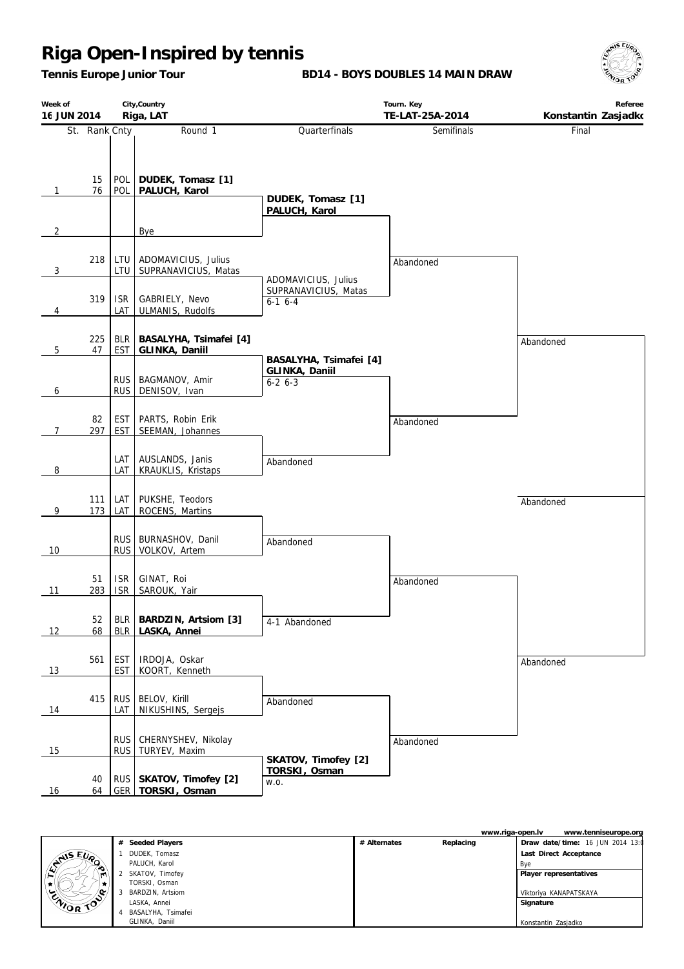*Tennis Europe Junior Tour*

**BD14 - BOYS DOUBLES 14 MAIN DRAW**



| Week of<br>16 JUN 2014 |               |                          | City, Country<br>Riga, LAT                       | Tourn. Key<br>TE-LAT-25A-2014       |            | Referee<br>Konstantin Zasjadko |
|------------------------|---------------|--------------------------|--------------------------------------------------|-------------------------------------|------------|--------------------------------|
|                        | St. Rank Cnty |                          | Round 1                                          | Quarterfinals                       | Semifinals | Final                          |
| $\mathbf{1}$           | 15<br>76      | POL<br>POL               | DUDEK, Tomasz [1]<br>PALUCH, Karol               | DUDEK, Tomasz [1]<br>PALUCH, Karol  |            |                                |
| $\overline{2}$         |               |                          | Bye                                              |                                     |            |                                |
| 3                      | 218           | LTU<br>LTU               | ADOMAVICIUS, Julius<br>SUPRANAVICIUS, Matas      | ADOMAVICIUS, Julius                 | Abandoned  |                                |
| $\overline{4}$         | 319           | <b>ISR</b><br>LAT        | GABRIELY, Nevo<br>ULMANIS, Rudolfs               | SUPRANAVICIUS, Matas<br>$6-1$ $6-4$ |            |                                |
| 5                      | 225<br>47     | <b>BLR</b><br><b>EST</b> | BASALYHA, Tsimafei [4]<br>GLINKA, Daniil         | BASALYHA, Tsimafei [4]              |            | Abandoned                      |
| 6                      |               | <b>RUS</b><br><b>RUS</b> | BAGMANOV, Amir<br>DENISOV, Ivan                  | GLINKA, Daniil<br>$6-2$ $6-3$       |            |                                |
| $\overline{7}$         | 82<br>297     | <b>EST</b><br>EST        | PARTS, Robin Erik<br>SEEMAN, Johannes            |                                     | Abandoned  |                                |
| 8                      |               | LAT<br>LAT               | AUSLANDS, Janis<br>KRAUKLIS, Kristaps            | Abandoned                           |            |                                |
| 9                      | 111<br>173    | LAT<br>LAT               | PUKSHE, Teodors<br>ROCENS, Martins               |                                     |            | Abandoned                      |
| 10                     |               | <b>RUS</b><br><b>RUS</b> | BURNASHOV, Danil<br>VOLKOV, Artem                | Abandoned                           |            |                                |
| 11                     | 51<br>283     | <b>ISR</b><br><b>ISR</b> | GINAT, Roi<br>SAROUK, Yair                       |                                     | Abandoned  |                                |
| 12                     | 52<br>68      | BLR                      | BLR   BARDZIN, Artsiom [3]<br>LASKA, Annei       | 4-1 Abandoned                       |            |                                |
| 13                     | 561           | <b>EST</b><br><b>EST</b> | IRDOJA, Oskar<br>KOORT, Kenneth                  |                                     |            | Abandoned                      |
| 14                     | 415           | <b>RUS</b><br>LAT        | BELOV, Kirill<br>NIKUSHINS, Sergejs              | Abandoned                           |            |                                |
| 15                     |               | <b>RUS</b><br><b>RUS</b> | CHERNYSHEV, Nikolay<br>TURYEV, Maxim             | SKATOV, Timofey [2]                 | Abandoned  |                                |
| 16                     | 40<br>64      |                          | RUS   SKATOV, Timofey [2]<br>GER   TORSKI, Osman | TORSKI, Osman<br>W.O.               |            |                                |



| 1 | DUDEK. Tomasz        |
|---|----------------------|
|   | PALUCH, Karol        |
|   | 2 SKATOV, Timofey    |
|   | TORSKI, Osman        |
| 3 | BARDZIN, Artsiom     |
|   | LASKA, Annei         |
|   | 4 BASALYHA, Tsimafei |
|   |                      |

GLINKA, Daniil

**# Seeded Players**

|              |           | www.riga-open.lv<br>www.tenniseurope.org |  |
|--------------|-----------|------------------------------------------|--|
| # Alternates | Replacing | Draw date/time: 16 JUN 2014 13:0         |  |
|              |           | Last Direct Acceptance                   |  |
|              |           | Bye                                      |  |
|              |           | Player representatives                   |  |
|              |           |                                          |  |
|              |           | Viktoriya KANAPATSKAYA                   |  |
|              |           | Signature                                |  |
|              |           |                                          |  |
|              |           | Konstantin Zasjadko                      |  |